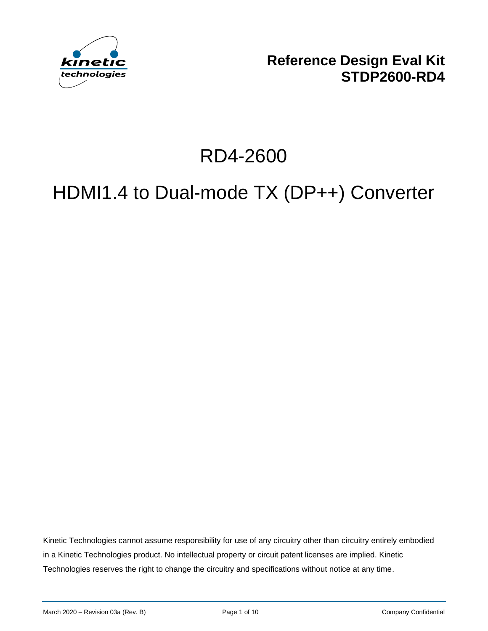

**Reference Design Eval Kit STDP2600-RD4**

# RD4-2600

# HDMI1.4 to Dual-mode TX (DP++) Converter

Kinetic Technologies cannot assume responsibility for use of any circuitry other than circuitry entirely embodied in a Kinetic Technologies product. No intellectual property or circuit patent licenses are implied. Kinetic Technologies reserves the right to change the circuitry and specifications without notice at any time.

March 2020 – Revision 03a (Rev. B) **Page 1 of 10** Page 1 of 10 Company Confidential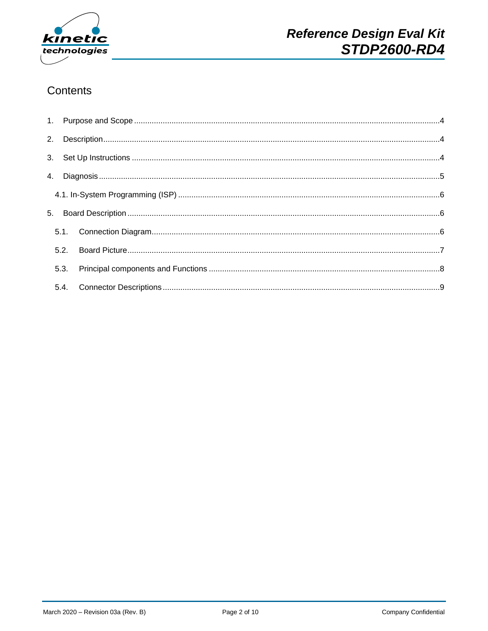

#### Contents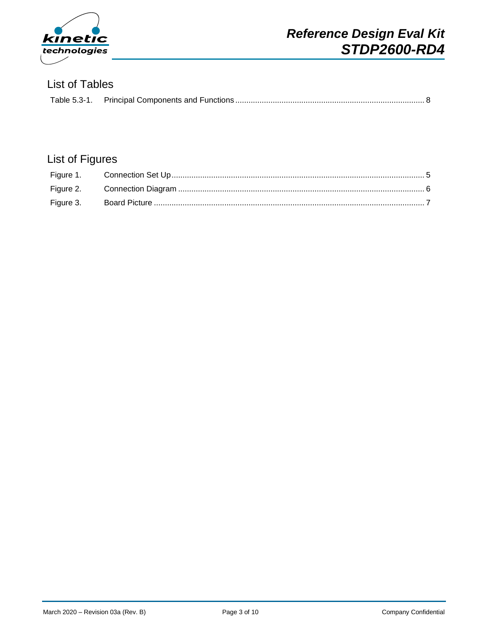

#### List of Tables

## List of Figures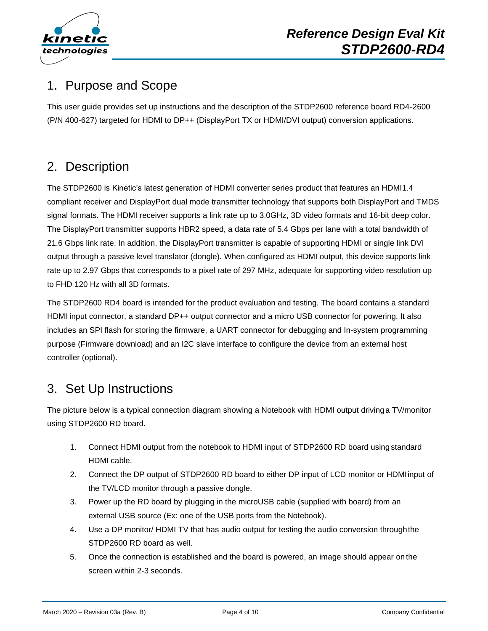

# <span id="page-3-0"></span>1. Purpose and Scope

This user guide provides set up instructions and the description of the STDP2600 reference board RD4-2600 (P/N 400-627) targeted for HDMI to DP++ (DisplayPort TX or HDMI/DVI output) conversion applications.

# <span id="page-3-1"></span>2. Description

The STDP2600 is Kinetic's latest generation of HDMI converter series product that features an HDMI1.4 compliant receiver and DisplayPort dual mode transmitter technology that supports both DisplayPort and TMDS signal formats. The HDMI receiver supports a link rate up to 3.0GHz, 3D video formats and 16-bit deep color. The DisplayPort transmitter supports HBR2 speed, a data rate of 5.4 Gbps per lane with a total bandwidth of 21.6 Gbps link rate. In addition, the DisplayPort transmitter is capable of supporting HDMI or single link DVI output through a passive level translator (dongle). When configured as HDMI output, this device supports link rate up to 2.97 Gbps that corresponds to a pixel rate of 297 MHz, adequate for supporting video resolution up to FHD 120 Hz with all 3D formats.

The STDP2600 RD4 board is intended for the product evaluation and testing. The board contains a standard HDMI input connector, a standard DP++ output connector and a micro USB connector for powering. It also includes an SPI flash for storing the firmware, a UART connector for debugging and In-system programming purpose (Firmware download) and an I2C slave interface to configure the device from an external host controller (optional).

## <span id="page-3-2"></span>3. Set Up Instructions

The picture below is a typical connection diagram showing a Notebook with HDMI output drivinga TV/monitor using STDP2600 RD board.

- 1. Connect HDMI output from the notebook to HDMI input of STDP2600 RD board usingstandard HDMI cable.
- 2. Connect the DP output of STDP2600 RD board to either DP input of LCD monitor or HDMIinput of the TV/LCD monitor through a passive dongle.
- 3. Power up the RD board by plugging in the microUSB cable (supplied with board) from an external USB source (Ex: one of the USB ports from the Notebook).
- 4. Use a DP monitor/ HDMI TV that has audio output for testing the audio conversion throughthe STDP2600 RD board as well.
- 5. Once the connection is established and the board is powered, an image should appear on the screen within 2-3 seconds.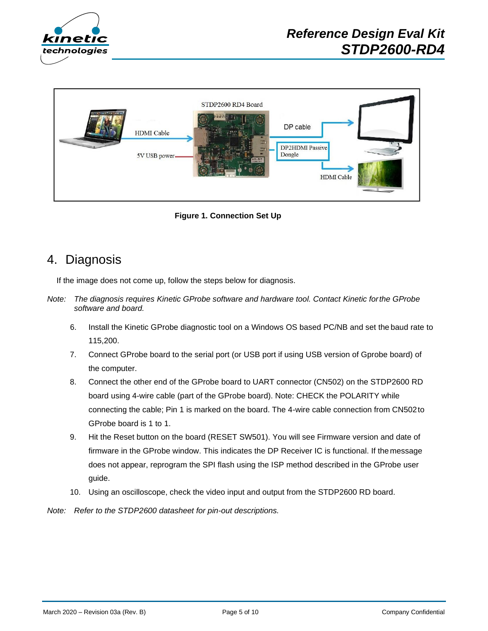



**Figure 1. Connection Set Up**

#### <span id="page-4-0"></span>4. Diagnosis

If the image does not come up, follow the steps below for diagnosis.

- *Note: The diagnosis requires Kinetic GProbe software and hardware tool. Contact Kinetic forthe GProbe software and board.*
	- 6. Install the Kinetic GProbe diagnostic tool on a Windows OS based PC/NB and set the baud rate to 115,200.
	- 7. Connect GProbe board to the serial port (or USB port if using USB version of Gprobe board) of the computer.
	- 8. Connect the other end of the GProbe board to UART connector (CN502) on the STDP2600 RD board using 4-wire cable (part of the GProbe board). Note: CHECK the POLARITY while connecting the cable; Pin 1 is marked on the board. The 4-wire cable connection from CN502to GProbe board is 1 to 1.
	- 9. Hit the Reset button on the board (RESET SW501). You will see Firmware version and date of firmware in the GProbe window. This indicates the DP Receiver IC is functional. If the message does not appear, reprogram the SPI flash using the ISP method described in the GProbe user guide.
	- 10. Using an oscilloscope, check the video input and output from the STDP2600 RD board.

*Note: Refer to the STDP2600 datasheet for pin-out descriptions.*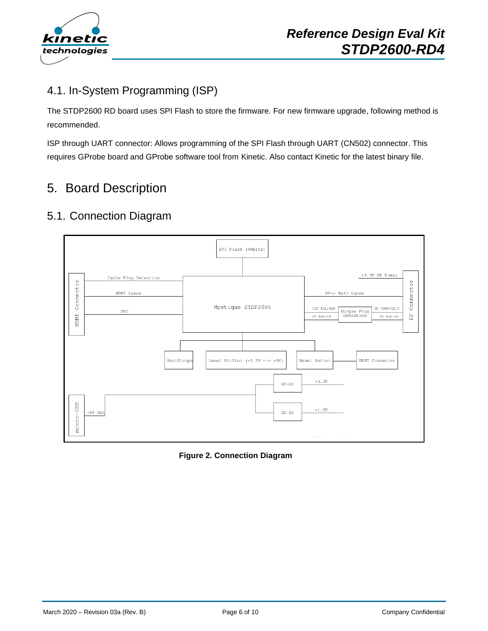

#### <span id="page-5-0"></span>4.1. In-System Programming (ISP)

The STDP2600 RD board uses SPI Flash to store the firmware. For new firmware upgrade, following method is recommended.

ISP through UART connector: Allows programming of the SPI Flash through UART (CN502) connector. This requires GProbe board and GProbe software tool from Kinetic. Also contact Kinetic for the latest binary file.

# <span id="page-5-1"></span>5. Board Description

#### <span id="page-5-2"></span>5.1. Connection Diagram



**Figure 2. Connection Diagram**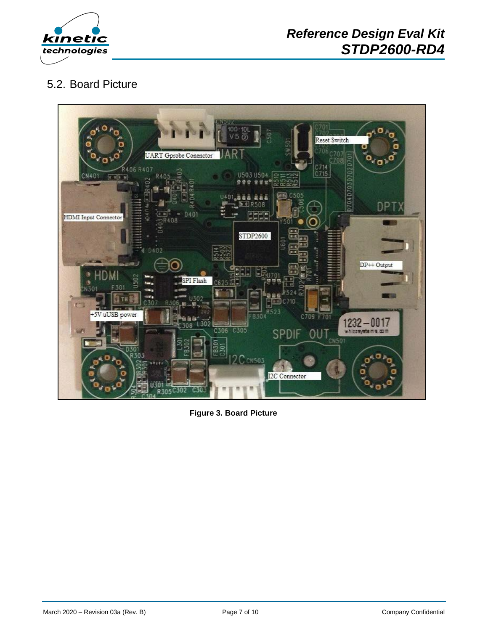

#### <span id="page-6-0"></span>5.2. Board Picture



**Figure 3. Board Picture**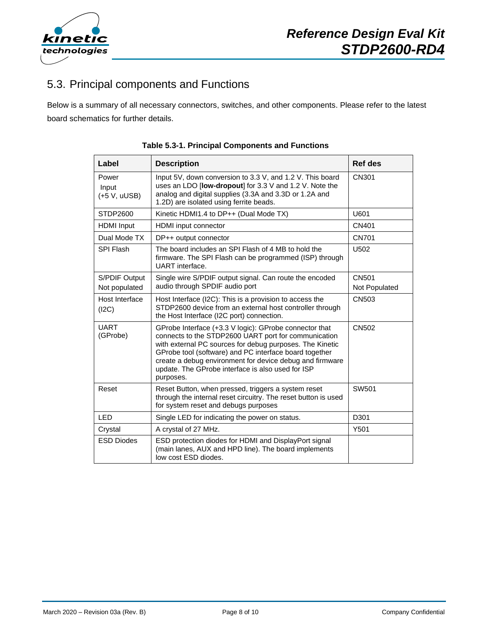

### <span id="page-7-0"></span>5.3. Principal components and Functions

<span id="page-7-1"></span>Below is a summary of all necessary connectors, switches, and other components. Please refer to the latest board schematics for further details.

| Label                            | <b>Description</b>                                                                                                                                                                                                                                                                                                                                                 | Ref des                |
|----------------------------------|--------------------------------------------------------------------------------------------------------------------------------------------------------------------------------------------------------------------------------------------------------------------------------------------------------------------------------------------------------------------|------------------------|
| Power<br>Input<br>$(+5 V, uUSE)$ | Input 5V, down conversion to 3.3 V, and 1.2 V. This board<br>uses an LDO [low-dropout] for 3.3 V and 1.2 V. Note the<br>analog and digital supplies (3.3A and 3.3D or 1.2A and<br>1.2D) are isolated using ferrite beads.                                                                                                                                          | CN301                  |
| STDP2600                         | Kinetic HDMI1.4 to DP++ (Dual Mode TX)                                                                                                                                                                                                                                                                                                                             | U601                   |
| <b>HDMI</b> Input                | <b>HDMI</b> input connector                                                                                                                                                                                                                                                                                                                                        | CN401                  |
| Dual Mode TX                     | DP++ output connector                                                                                                                                                                                                                                                                                                                                              | <b>CN701</b>           |
| SPI Flash                        | The board includes an SPI Flash of 4 MB to hold the<br>firmware. The SPI Flash can be programmed (ISP) through<br>UART interface.                                                                                                                                                                                                                                  | U502                   |
| S/PDIF Output<br>Not populated   | Single wire S/PDIF output signal. Can route the encoded<br>audio through SPDIF audio port                                                                                                                                                                                                                                                                          | CN501<br>Not Populated |
| Host Interface<br>(12C)          | Host Interface (I2C): This is a provision to access the<br>STDP2600 device from an external host controller through<br>the Host Interface (I2C port) connection.                                                                                                                                                                                                   | <b>CN503</b>           |
| <b>UART</b><br>(GProbe)          | GProbe Interface (+3.3 V logic): GProbe connector that<br>connects to the STDP2600 UART port for communication<br>with external PC sources for debug purposes. The Kinetic<br>GProbe tool (software) and PC interface board together<br>create a debug environment for device debug and firmware<br>update. The GProbe interface is also used for ISP<br>purposes. | CN502                  |
| Reset                            | Reset Button, when pressed, triggers a system reset<br>through the internal reset circuitry. The reset button is used<br>for system reset and debugs purposes                                                                                                                                                                                                      | SW501                  |
| <b>LED</b>                       | Single LED for indicating the power on status.                                                                                                                                                                                                                                                                                                                     | D301                   |
| Crystal                          | A crystal of 27 MHz.                                                                                                                                                                                                                                                                                                                                               | Y501                   |
| <b>ESD Diodes</b>                | ESD protection diodes for HDMI and DisplayPort signal<br>(main lanes, AUX and HPD line). The board implements<br>low cost ESD diodes.                                                                                                                                                                                                                              |                        |

**Table 5.3-1. Principal Components and Functions**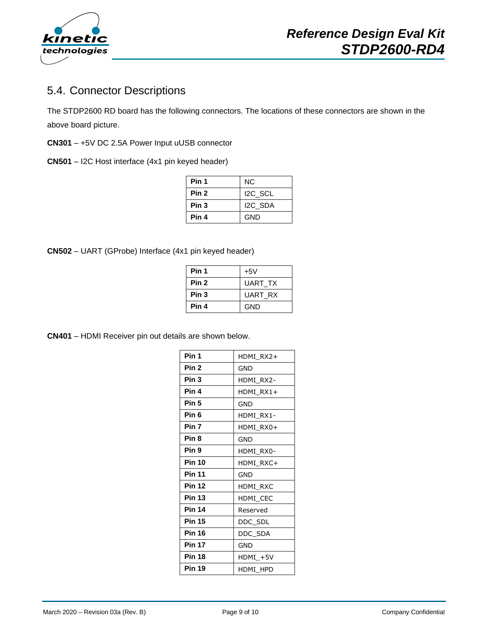

#### <span id="page-8-0"></span>5.4. Connector Descriptions

The STDP2600 RD board has the following connectors. The locations of these connectors are shown in the above board picture.

**CN301** – +5V DC 2.5A Power Input uUSB connector

**CN501** – I2C Host interface (4x1 pin keyed header)

| Pin 1            | NC.                 |
|------------------|---------------------|
| Pin 2            | I <sub>2C</sub> SCL |
| Pin <sub>3</sub> | I2C SDA             |
| Pin 4            | GND                 |

**CN502** – UART (GProbe) Interface (4x1 pin keyed header)

| Pin 1            | $+5V$          |
|------------------|----------------|
| Pin <sub>2</sub> | <b>UART TX</b> |
| Pin 3            | UART RX        |
| Pin 4            | GND            |

**CN401** – HDMI Receiver pin out details are shown below.

| Pin 1            | HDMI RX2+ |
|------------------|-----------|
| Pin <sub>2</sub> | GND       |
| Pin <sub>3</sub> | HDMI RX2- |
| Pin 4            | HDMI RX1+ |
| Pin <sub>5</sub> | GND       |
| Pin 6            | HDMI RX1- |
| Pin 7            | HDMI_RX0+ |
| Pin 8            | GND       |
| Pin 9            | HDMI RX0- |
| <b>Pin 10</b>    | HDMI RXC+ |
| <b>Pin 11</b>    | GND       |
| <b>Pin 12</b>    | HDMI RXC  |
| <b>Pin 13</b>    | HDMI CEC  |
| <b>Pin 14</b>    | Reserved  |
| <b>Pin 15</b>    | DDC_SDL   |
| <b>Pin 16</b>    | DDC SDA   |
| <b>Pin 17</b>    | GND       |
| <b>Pin 18</b>    | HDMI +5V  |
| <b>Pin 19</b>    | HDMI_HPD  |